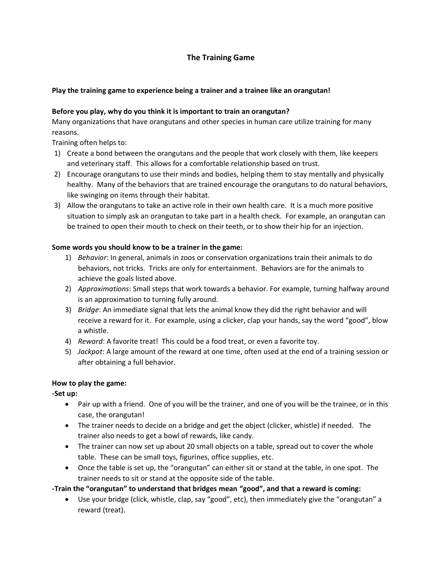# **The Training Game**

### **Play the training game to experience being a trainer and a trainee like an orangutan!**

#### **Before you play, why do you think it is important to train an orangutan?**

Many organizations that have orangutans and other species in human care utilize training for many reasons.

Training often helps to:

- 1) Create a bond between the orangutans and the people that work closely with them, like keepers and veterinary staff. This allows for a comfortable relationship based on trust.
- 2) Encourage orangutans to use their minds and bodies, helping them to stay mentally and physically healthy. Many of the behaviors that are trained encourage the orangutans to do natural behaviors, like swinging on items through their habitat.
- 3) Allow the orangutans to take an active role in their own health care. It is a much more positive situation to simply ask an orangutan to take part in a health check. For example, an orangutan can be trained to open their mouth to check on their teeth, or to show their hip for an injection.

#### **Some words you should know to be a trainer in the game:**

- 1) *Behavior*: In general, animals in zoos or conservation organizations train their animals to do behaviors, not tricks. Tricks are only for entertainment. Behaviors are for the animals to achieve the goals listed above.
- 2) *Approximations*: Small steps that work towards a behavior. For example, turning halfway around is an approximation to turning fully around.
- 3) *Bridge*: An immediate signal that lets the animal know they did the right behavior and will receive a reward for it. For example, using a clicker, clap your hands, say the word "good", blow a whistle.
- 4) *Reward*: A favorite treat! This could be a food treat, or even a favorite toy.
- 5) *Jackpot*: A large amount of the reward at one time, often used at the end of a training session or after obtaining a full behavior.

#### **How to play the game:**

**-Set up:** 

- Pair up with a friend. One of you will be the trainer, and one of you will be the trainee, or in this case, the orangutan!
- The trainer needs to decide on a bridge and get the object (clicker, whistle) if needed. The trainer also needs to get a bowl of rewards, like candy.
- The trainer can now set up about 20 small objects on a table, spread out to cover the whole table. These can be small toys, figurines, office supplies, etc.
- Once the table is set up, the "orangutan" can either sit or stand at the table, in one spot. The trainer needs to sit or stand at the opposite side of the table.

**-Train the "orangutan" to understand that bridges mean "good", and that a reward is coming:**

• Use your bridge (click, whistle, clap, say "good", etc), then immediately give the "orangutan" a reward (treat).